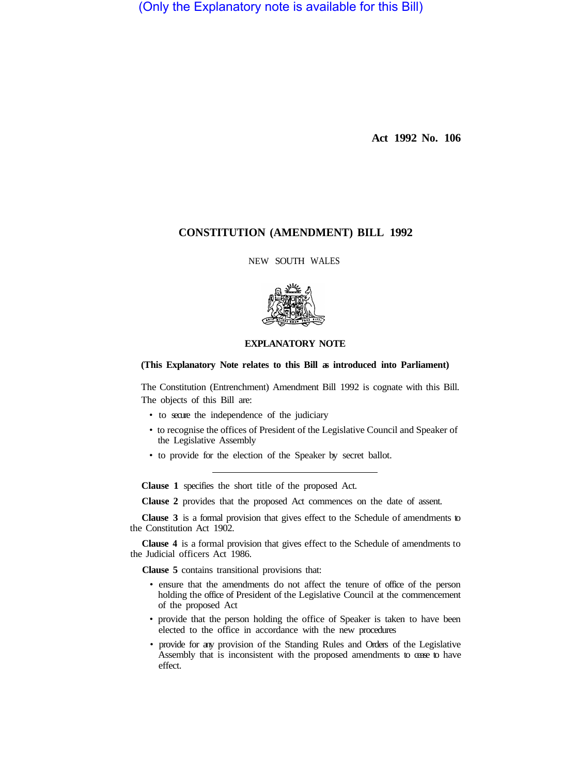(Only the Explanatory note is available for this Bill)

**Act 1992 No. 106** 

# **CONSTITUTION (AMENDMENT) BILL 1992**

NEW SOUTH WALES



### **EXPLANATORY NOTE**

#### **(This Explanatory Note relates to this Bill as introduced into Parliament)**

The Constitution (Entrenchment) Amendment Bill 1992 is cognate with this Bill. The objects of this Bill are:

- to secure the independence of the judiciary
- to recognise the offices of President of the Legislative Council and Speaker of the Legislative Assembly
- to provide for the election of the Speaker by secret ballot.

**Clause 1** specifies the short title of the proposed Act.

**Clause 2** provides that the proposed Act commences on the date of assent.

**Clause 3** is a formal provision that gives effect to the Schedule of amendments to the Constitution Act 1902.

**Clause 4** is a formal provision that gives effect to the Schedule of amendments to the Judicial officers Act 1986.

**Clause 5** contains transitional provisions that:

- ensure that the amendments do not affect the tenure of office of the person holding the office of President of the Legislative Council at the commencement of the proposed Act
- provide that the person holding the office of Speaker is taken to have been elected to the office in accordance with the new procedures
- provide for any provision of the Standing Rules and Orders of the Legislative Assembly that is inconsistent with the proposed amendments to cease to have effect.